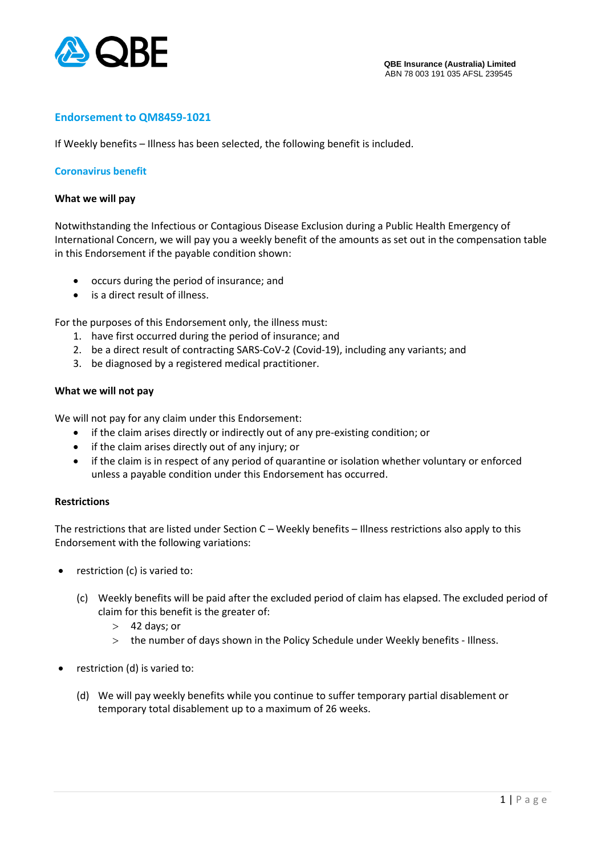

# **Endorsement to QM8459-1021**

If Weekly benefits – Illness has been selected, the following benefit is included.

### **Coronavirus benefit**

#### **What we will pay**

Notwithstanding the Infectious or Contagious Disease Exclusion during a Public Health Emergency of International Concern, we will pay you a weekly benefit of the amounts as set out in the compensation table in this Endorsement if the payable condition shown:

- occurs during the period of insurance; and
- is a direct result of illness.

For the purposes of this Endorsement only, the illness must:

- 1. have first occurred during the period of insurance; and
- 2. be a direct result of contracting SARS-CoV-2 (Covid-19), including any variants; and
- 3. be diagnosed by a registered medical practitioner.

### **What we will not pay**

We will not pay for any claim under this Endorsement:

- if the claim arises directly or indirectly out of any pre-existing condition; or
- if the claim arises directly out of any injury; or
- if the claim is in respect of any period of quarantine or isolation whether voluntary or enforced unless a payable condition under this Endorsement has occurred.

### **Restrictions**

The restrictions that are listed under Section C – Weekly benefits – Illness restrictions also apply to this Endorsement with the following variations:

- restriction (c) is varied to:
	- (c) Weekly benefits will be paid after the excluded period of claim has elapsed. The excluded period of claim for this benefit is the greater of:
		- $>42$  days; or
		- the number of days shown in the Policy Schedule under Weekly benefits Illness.
- restriction (d) is varied to:
	- (d) We will pay weekly benefits while you continue to suffer temporary partial disablement or temporary total disablement up to a maximum of 26 weeks.